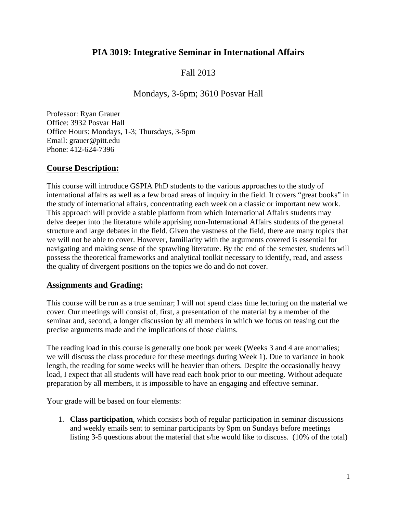# **PIA 3019: Integrative Seminar in International Affairs**

# Fall 2013

## Mondays, 3-6pm; 3610 Posvar Hall

Professor: Ryan Grauer Office: 3932 Posvar Hall Office Hours: Mondays, 1-3; Thursdays, 3-5pm Email: grauer@pitt.edu Phone: 412-624-7396

### **Course Description:**

This course will introduce GSPIA PhD students to the various approaches to the study of international affairs as well as a few broad areas of inquiry in the field. It covers "great books" in the study of international affairs, concentrating each week on a classic or important new work. This approach will provide a stable platform from which International Affairs students may delve deeper into the literature while apprising non-International Affairs students of the general structure and large debates in the field. Given the vastness of the field, there are many topics that we will not be able to cover. However, familiarity with the arguments covered is essential for navigating and making sense of the sprawling literature. By the end of the semester, students will possess the theoretical frameworks and analytical toolkit necessary to identify, read, and assess the quality of divergent positions on the topics we do and do not cover.

### **Assignments and Grading:**

This course will be run as a true seminar; I will not spend class time lecturing on the material we cover. Our meetings will consist of, first, a presentation of the material by a member of the seminar and, second, a longer discussion by all members in which we focus on teasing out the precise arguments made and the implications of those claims.

The reading load in this course is generally one book per week (Weeks 3 and 4 are anomalies; we will discuss the class procedure for these meetings during Week 1). Due to variance in book length, the reading for some weeks will be heavier than others. Despite the occasionally heavy load, I expect that all students will have read each book prior to our meeting. Without adequate preparation by all members, it is impossible to have an engaging and effective seminar.

Your grade will be based on four elements:

1. **Class participation**, which consists both of regular participation in seminar discussions and weekly emails sent to seminar participants by 9pm on Sundays before meetings listing 3-5 questions about the material that s/he would like to discuss. (10% of the total)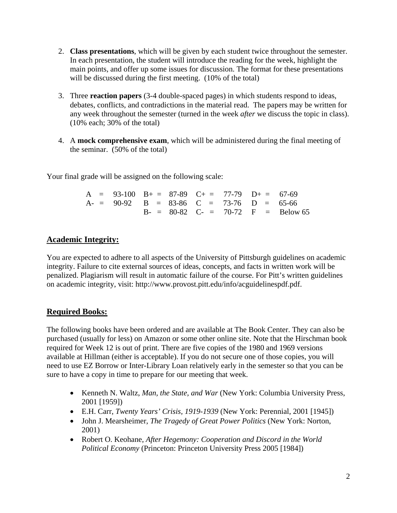- 2. **Class presentations**, which will be given by each student twice throughout the semester. In each presentation, the student will introduce the reading for the week, highlight the main points, and offer up some issues for discussion. The format for these presentations will be discussed during the first meeting. (10% of the total)
- 3. Three **reaction papers** (3-4 double-spaced pages) in which students respond to ideas, debates, conflicts, and contradictions in the material read. The papers may be written for any week throughout the semester (turned in the week *after* we discuss the topic in class). (10% each; 30% of the total)
- 4. A **mock comprehensive exam**, which will be administered during the final meeting of the seminar. (50% of the total)

Your final grade will be assigned on the following scale:

|  | $A = 93-100$ $B_+ = 87-89$ $C_+ = 77-79$ $D_+ = 67-69$ |  |  |                                     |
|--|--------------------------------------------------------|--|--|-------------------------------------|
|  | $A = 90-92$ B = 83-86 C = 73-76 D = 65-66              |  |  |                                     |
|  |                                                        |  |  | $B = 80-82$ C- = 70-72 F = Below 65 |

# **Academic Integrity:**

You are expected to adhere to all aspects of the University of Pittsburgh guidelines on academic integrity. Failure to cite external sources of ideas, concepts, and facts in written work will be penalized. Plagiarism will result in automatic failure of the course. For Pitt's written guidelines on academic integrity, visit: http://www.provost.pitt.edu/info/acguidelinespdf.pdf.

# **Required Books:**

The following books have been ordered and are available at The Book Center. They can also be purchased (usually for less) on Amazon or some other online site. Note that the Hirschman book required for Week 12 is out of print. There are five copies of the 1980 and 1969 versions available at Hillman (either is acceptable). If you do not secure one of those copies, you will need to use EZ Borrow or Inter-Library Loan relatively early in the semester so that you can be sure to have a copy in time to prepare for our meeting that week.

- Kenneth N. Waltz, *Man, the State, and War* (New York: Columbia University Press, 2001 [1959])
- E.H. Carr, *Twenty Years' Crisis, 1919-1939* (New York: Perennial, 2001 [1945])
- John J. Mearsheimer, *The Tragedy of Great Power Politics* (New York: Norton, 2001)
- Robert O. Keohane, *After Hegemony: Cooperation and Discord in the World Political Economy* (Princeton: Princeton University Press 2005 [1984])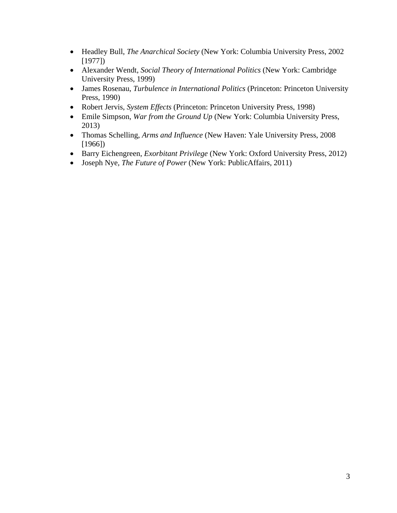- Headley Bull, *The Anarchical Society* (New York: Columbia University Press, 2002 [1977])
- Alexander Wendt, *Social Theory of International Politics* (New York: Cambridge University Press, 1999)
- James Rosenau, *Turbulence in International Politics* (Princeton: Princeton University Press, 1990)
- Robert Jervis, *System Effects* (Princeton: Princeton University Press, 1998)
- Emile Simpson, *War from the Ground Up* (New York: Columbia University Press, 2013)
- Thomas Schelling, *Arms and Influence* (New Haven: Yale University Press, 2008 [1966])
- Barry Eichengreen, *Exorbitant Privilege* (New York: Oxford University Press, 2012)
- Joseph Nye, *The Future of Power* (New York: PublicAffairs, 2011)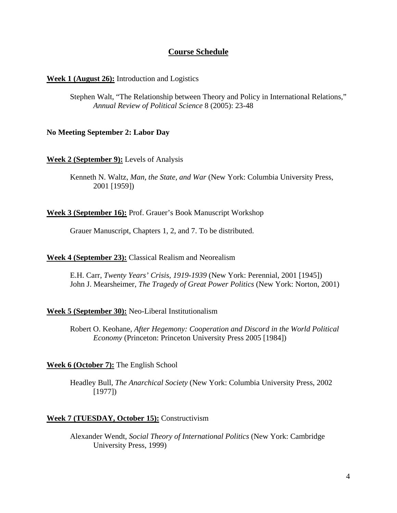## **Course Schedule**

### **Week 1 (August 26):** Introduction and Logistics

Stephen Walt, "The Relationship between Theory and Policy in International Relations," *Annual Review of Political Science* 8 (2005): 23-48

### **No Meeting September 2: Labor Day**

**Week 2 (September 9):** Levels of Analysis

Kenneth N. Waltz, *Man, the State, and War* (New York: Columbia University Press, 2001 [1959])

**Week 3 (September 16):** Prof. Grauer's Book Manuscript Workshop

Grauer Manuscript, Chapters 1, 2, and 7. To be distributed.

### **Week 4 (September 23):** Classical Realism and Neorealism

E.H. Carr, *Twenty Years' Crisis, 1919-1939* (New York: Perennial, 2001 [1945]) John J. Mearsheimer, *The Tragedy of Great Power Politics* (New York: Norton, 2001)

### **Week 5 (September 30):** Neo-Liberal Institutionalism

Robert O. Keohane, *After Hegemony: Cooperation and Discord in the World Political Economy* (Princeton: Princeton University Press 2005 [1984])

### **Week 6 (October 7):** The English School

Headley Bull, *The Anarchical Society* (New York: Columbia University Press, 2002 [1977])

### **Week 7 (TUESDAY, October 15):** Constructivism

Alexander Wendt, *Social Theory of International Politics* (New York: Cambridge University Press, 1999)